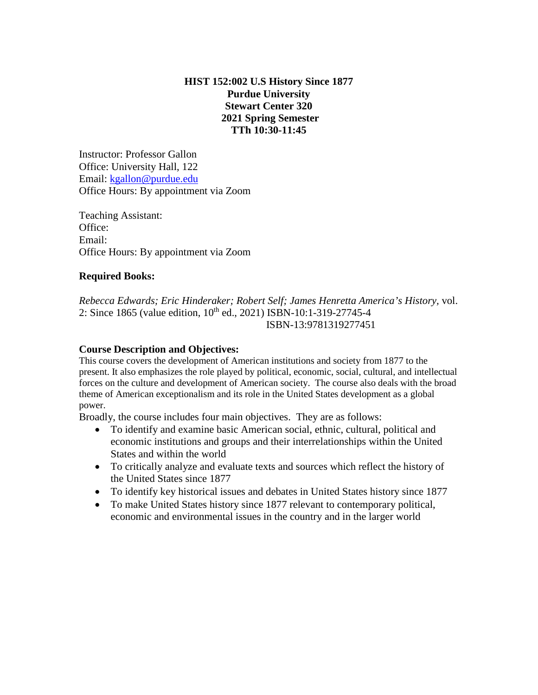# **HIST 152:002 U.S History Since 1877 Purdue University Stewart Center 320 2021 Spring Semester TTh 10:30-11:45**

Instructor: Professor Gallon Office: University Hall, 122 Email: [kgallon@purdue.edu](mailto:kgallon@purdue.edu) Office Hours: By appointment via Zoom

Teaching Assistant: Office: Email: Office Hours: By appointment via Zoom

# **Required Books:**

*Rebecca Edwards; Eric Hinderaker; Robert Self; James Henretta America's History,* vol. 2: Since 1865 (value edition,  $10^{th}$  ed., 2021) ISBN-10:1-319-27745-4 ISBN-13:9781319277451

# **Course Description and Objectives:**

This course covers the development of American institutions and society from 1877 to the present. It also emphasizes the role played by political, economic, social, cultural, and intellectual forces on the culture and development of American society. The course also deals with the broad theme of American exceptionalism and its role in the United States development as a global power.

Broadly, the course includes four main objectives. They are as follows:

- To identify and examine basic American social, ethnic, cultural, political and economic institutions and groups and their interrelationships within the United States and within the world
- To critically analyze and evaluate texts and sources which reflect the history of the United States since 1877
- To identify key historical issues and debates in United States history since 1877
- To make United States history since 1877 relevant to contemporary political, economic and environmental issues in the country and in the larger world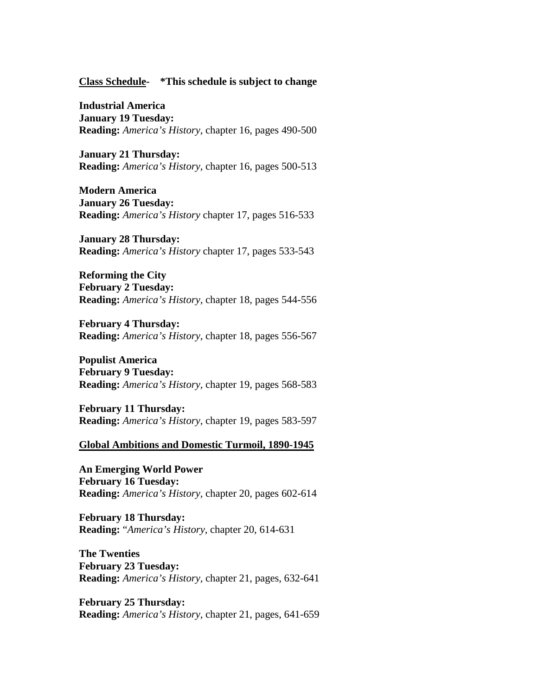#### **Class Schedule- \*This schedule is subject to change**

**Industrial America January 19 Tuesday: Reading:** *America's History*, chapter 16, pages 490-500

**January 21 Thursday: Reading:** *America's History*, chapter 16, pages 500-513

**Modern America January 26 Tuesday: Reading:** *America's History* chapter 17, pages 516-533

**January 28 Thursday: Reading:** *America's History* chapter 17, pages 533-543

**Reforming the City February 2 Tuesday: Reading:** *America's History*, chapter 18, pages 544-556

**February 4 Thursday: Reading:** *America's History*, chapter 18, pages 556-567

**Populist America February 9 Tuesday: Reading:** *America's History*, chapter 19, pages 568-583

**February 11 Thursday: Reading:** *America's History*, chapter 19, pages 583-597

#### **Global Ambitions and Domestic Turmoil, 1890-1945**

**An Emerging World Power February 16 Tuesday: Reading:** *America's History,* chapter 20, pages 602-614

**February 18 Thursday: Reading:** "*America's History*, chapter 20, 614-631

**The Twenties February 23 Tuesday: Reading:** *America's History,* chapter 21, pages, 632-641

**February 25 Thursday: Reading:** *America's History,* chapter 21, pages, 641-659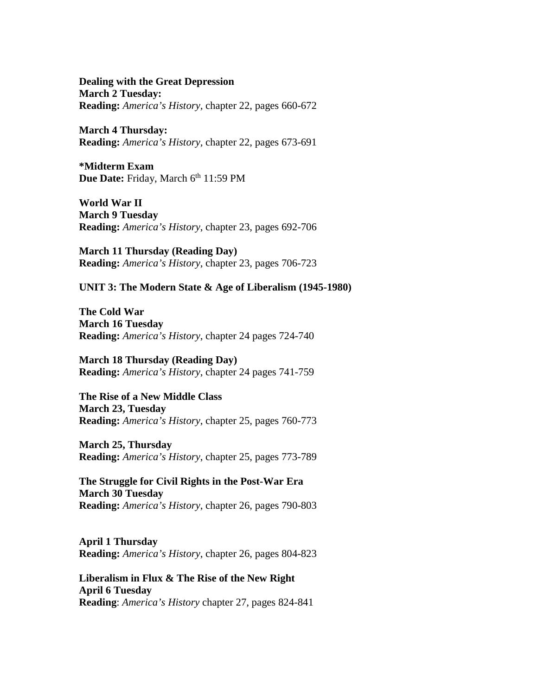**Dealing with the Great Depression March 2 Tuesday: Reading:** *America's History,* chapter 22, pages 660-672

**March 4 Thursday: Reading:** *America's History,* chapter 22, pages 673-691

**\*Midterm Exam**  Due Date: Friday, March 6<sup>th</sup> 11:59 PM

**World War II March 9 Tuesday Reading:** *America's History*, chapter 23, pages 692-706

**March 11 Thursday (Reading Day) Reading:** *America's History*, chapter 23, pages 706-723

**UNIT 3: The Modern State & Age of Liberalism (1945-1980)**

**The Cold War March 16 Tuesday Reading:** *America's History*, chapter 24 pages 724-740

**March 18 Thursday (Reading Day) Reading:** *America's History*, chapter 24 pages 741-759

**The Rise of a New Middle Class March 23, Tuesday Reading:** *America's History*, chapter 25, pages 760-773

**March 25, Thursday Reading:** *America's History*, chapter 25, pages 773-789

**The Struggle for Civil Rights in the Post-War Era March 30 Tuesday Reading:** *America's History*, chapter 26, pages 790-803

**April 1 Thursday Reading:** *America's History*, chapter 26, pages 804-823

**Liberalism in Flux & The Rise of the New Right April 6 Tuesday Reading**: *America's History* chapter 27*,* pages 824-841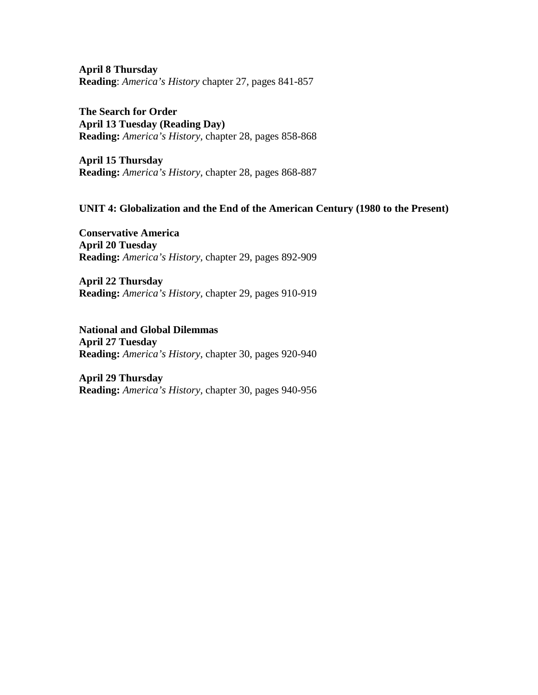**April 8 Thursday Reading**: *America's History* chapter 27*,* pages 841-857

**The Search for Order April 13 Tuesday (Reading Day) Reading:** *America's History,* chapter 28, pages 858-868

**April 15 Thursday Reading:** *America's History,* chapter 28, pages 868-887

#### **UNIT 4: Globalization and the End of the American Century (1980 to the Present)**

**Conservative America April 20 Tuesday Reading:** *America's History,* chapter 29, pages 892-909

**April 22 Thursday Reading:** *America's History,* chapter 29, pages 910-919

**National and Global Dilemmas April 27 Tuesday Reading:** *America's History,* chapter 30, pages 920-940

**April 29 Thursday Reading:** *America's History,* chapter 30, pages 940-956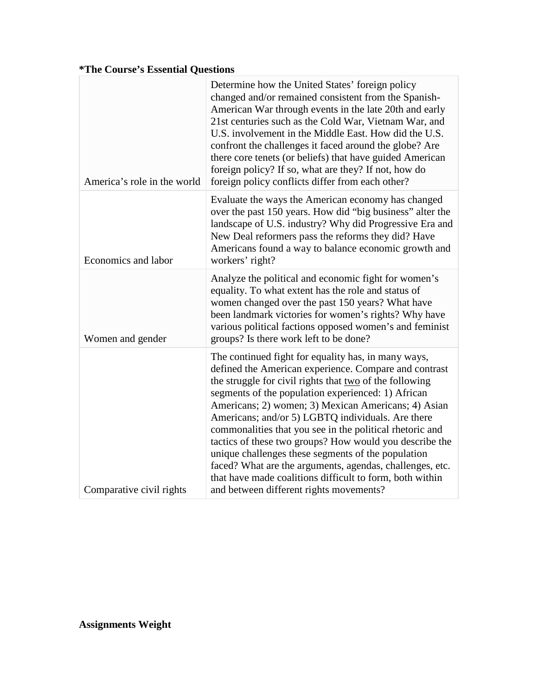# **\*The Course's Essential Questions**

| America's role in the world | Determine how the United States' foreign policy<br>changed and/or remained consistent from the Spanish-<br>American War through events in the late 20th and early<br>21st centuries such as the Cold War, Vietnam War, and<br>U.S. involvement in the Middle East. How did the U.S.<br>confront the challenges it faced around the globe? Are<br>there core tenets (or beliefs) that have guided American<br>foreign policy? If so, what are they? If not, how do<br>foreign policy conflicts differ from each other?                                                                                                                                                                     |
|-----------------------------|-------------------------------------------------------------------------------------------------------------------------------------------------------------------------------------------------------------------------------------------------------------------------------------------------------------------------------------------------------------------------------------------------------------------------------------------------------------------------------------------------------------------------------------------------------------------------------------------------------------------------------------------------------------------------------------------|
| Economics and labor         | Evaluate the ways the American economy has changed<br>over the past 150 years. How did "big business" alter the<br>landscape of U.S. industry? Why did Progressive Era and<br>New Deal reformers pass the reforms they did? Have<br>Americans found a way to balance economic growth and<br>workers' right?                                                                                                                                                                                                                                                                                                                                                                               |
| Women and gender            | Analyze the political and economic fight for women's<br>equality. To what extent has the role and status of<br>women changed over the past 150 years? What have<br>been landmark victories for women's rights? Why have<br>various political factions opposed women's and feminist<br>groups? Is there work left to be done?                                                                                                                                                                                                                                                                                                                                                              |
| Comparative civil rights    | The continued fight for equality has, in many ways,<br>defined the American experience. Compare and contrast<br>the struggle for civil rights that two of the following<br>segments of the population experienced: 1) African<br>Americans; 2) women; 3) Mexican Americans; 4) Asian<br>Americans; and/or 5) LGBTQ individuals. Are there<br>commonalities that you see in the political rhetoric and<br>tactics of these two groups? How would you describe the<br>unique challenges these segments of the population<br>faced? What are the arguments, agendas, challenges, etc.<br>that have made coalitions difficult to form, both within<br>and between different rights movements? |

**Assignments Weight**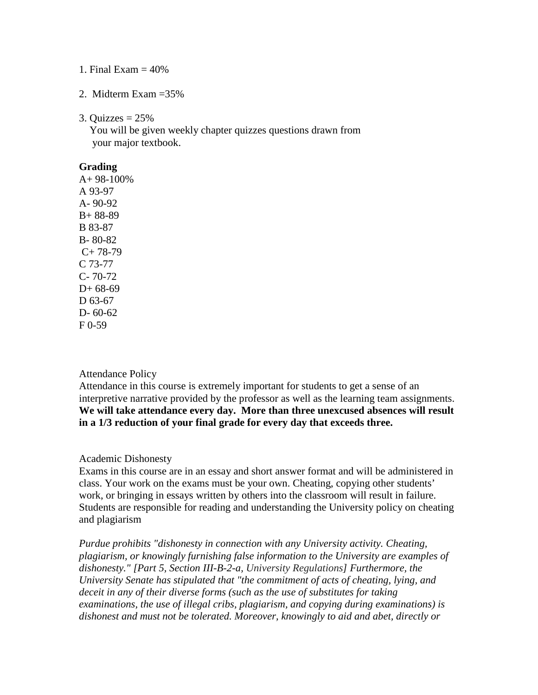#### 1. Final Exam  $=$  40%

# 2. Midterm Exam =35%

#### 3. Quizzes  $= 25\%$

 You will be given weekly chapter quizzes questions drawn from your major textbook.

## **Grading**

 $A+98-100%$ A 93-97 A- 90-92 B+ 88-89 B 83-87 B- 80-82  $C+ 78-79$ C 73-77 C- 70-72  $D+ 68-69$ D 63-67 D- 60-62  $F(0-59)$ 

# Attendance Policy

Attendance in this course is extremely important for students to get a sense of an interpretive narrative provided by the professor as well as the learning team assignments. **We will take attendance every day. More than three unexcused absences will result in a 1/3 reduction of your final grade for every day that exceeds three.**

#### Academic Dishonesty

Exams in this course are in an essay and short answer format and will be administered in class. Your work on the exams must be your own. Cheating, copying other students' work, or bringing in essays written by others into the classroom will result in failure. Students are responsible for reading and understanding the University policy on cheating and plagiarism

*Purdue prohibits "dishonesty in connection with any University activity. Cheating, plagiarism, or knowingly furnishing false information to the University are examples of dishonesty." [Part 5, Section III-B-2-a, [University Regulations\]](http://www.purdue.edu/univregs/) Furthermore, the University Senate has stipulated that "the commitment of acts of cheating, lying, and deceit in any of their diverse forms (such as the use of substitutes for taking examinations, the use of illegal cribs, plagiarism, and copying during examinations) is dishonest and must not be tolerated. Moreover, knowingly to aid and abet, directly or*